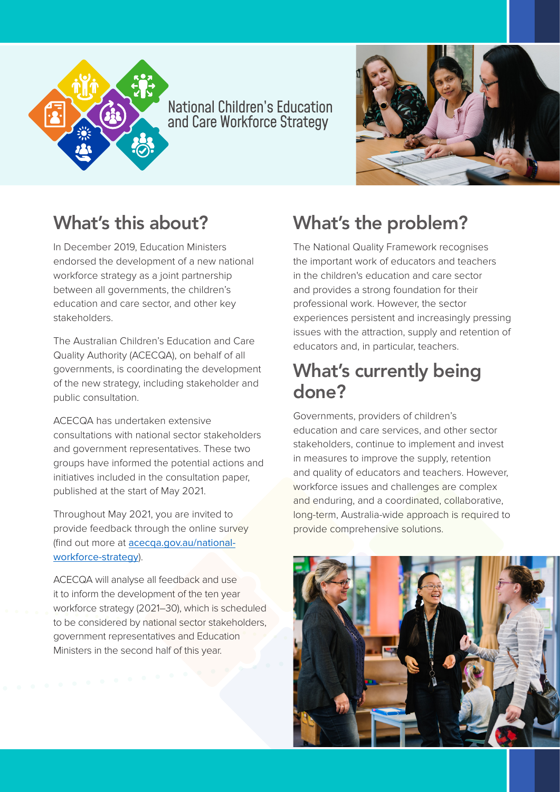

### National Children's Education and Care Workforce Strategy



## What's this about?

In December 2019, Education Ministers endorsed the development of a new national workforce strategy as a joint partnership between all governments, the children's education and care sector, and other key stakeholders.

The Australian Children's Education and Care Quality Authority (ACECQA), on behalf of all governments, is coordinating the development of the new strategy, including stakeholder and public consultation.

ACECQA has undertaken extensive consultations with national sector stakeholders and government representatives. These two groups have informed the potential actions and initiatives included in the consultation paper, published at the start of May 2021.

Throughout May 2021, you are invited to provide feedback through the online survey (find out more at [acecqa.gov.au/national](http://acecqa.gov.au/national-workforce-strategy)[workforce-strategy](http://acecqa.gov.au/national-workforce-strategy)).

ACECQA will analyse all feedback and use it to inform the development of the ten year workforce strategy (2021–30), which is scheduled to be considered by national sector stakeholders, government representatives and Education Ministers in the second half of this year.

# What's the problem?

The National Quality Framework recognises the important work of educators and teachers in the children's education and care sector and provides a strong foundation for their professional work. However, the sector experiences persistent and increasingly pressing issues with the attraction, supply and retention of educators and, in particular, teachers.

## What's currently being done?

Governments, providers of children's education and care services, and other sector stakeholders, continue to implement and invest in measures to improve the supply, retention and quality of educators and teachers. However, workforce issues and challenges are complex and enduring, and a coordinated, collaborative, long-term, Australia-wide approach is required to provide comprehensive solutions.